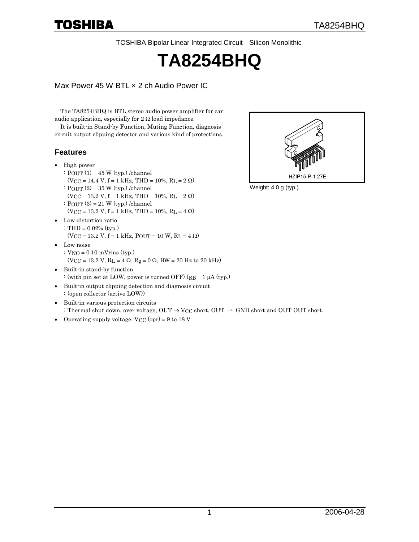TOSHIBA Bipolar Linear Integrated Circuit Silicon Monolithic

# **TA8254BHQ**

Max Power 45 W BTL x 2 ch Audio Power IC

The TA8254BHQ is BTL stereo audio power amplifier for car audio application, especially for  $2 \Omega$  load impedance.

It is built-in Stand-by Function, Muting Function, diagnosis circuit output clipping detector and various kind of protections.

#### **Features**

- High power
	- :  $POUT(1) = 45 W(typ.)$ /channel
	- $(VCC = 14.4 V, f = 1 kHz, THD = 10%, RL = 2 \Omega)$
	- : POUT (2) = 35 W (typ.) /channel
	- (VCC = 13.2 V, f = 1 kHz, THD = 10%, RL = 2  $\Omega$ )
	- :  $POUT (3) = 21 W (typ.)$ /channel  $(VCC = 13.2 V, f = 1 kHz, THD = 10%, RL = 4 \Omega)$
- Low distortion ratio : THD = 0.02% (typ.)
	- (VCC = 13.2 V, f = 1 kHz, POUT = 10 W, RL = 4  $\Omega$ )
- Low noise
	- :  $VNO = 0.10$  m $Vrms$  (typ.)
	- (V<sub>CC</sub> = 13.2 V, R<sub>L</sub> = 4 Ω, R<sub>g</sub> = 0 Ω, BW = 20 Hz to 20 kHz)
- Built-in stand-by function : (with pin set at LOW, power is turned OFF)  $ISB = 1 \mu A (typ.)$
- Built-in output clipping detection and diagnosis circuit : (open collector (active LOW))
- Built-in various protection circuits : Thermal shut down, over voltage,  $OUT \rightarrow VCC$  short,  $OUT \rightarrow GND$  short and OUT-OUT short.
- Operating supply voltage:  $VCC$  (opr) = 9 to 18 V



Weight: 4.0 g (typ.)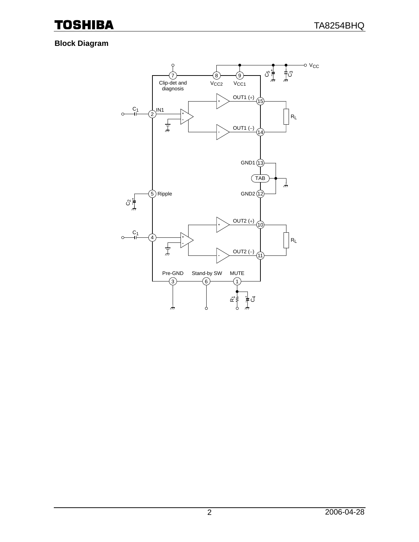### **Block Diagram**

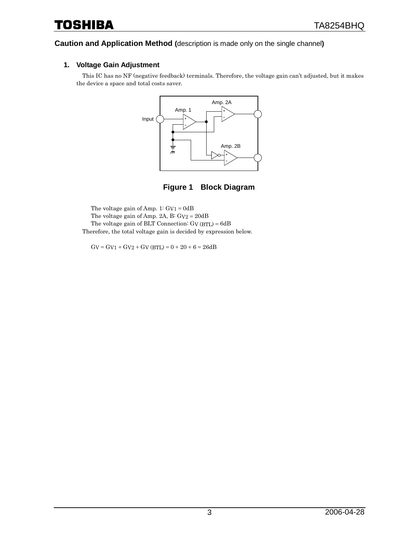# Toshiba

#### **Caution and Application Method (**description is made only on the single channel**)**

#### **1. Voltage Gain Adjustment**

This IC has no NF (negative feedback) terminals. Therefore, the voltage gain can't adjusted, but it makes the device a space and total costs saver.



**Figure 1 Block Diagram** 

The voltage gain of Amp. 1: GV1 = 0dB The voltage gain of Amp. 2A, B:  $Gv2 = 20dB$ The voltage gain of BLT Connection: GV (BTL) = 6dB Therefore, the total voltage gain is decided by expression below.

 $GV = GV1 + GV2 + GV (BTL) = 0 + 20 + 6 = 26dB$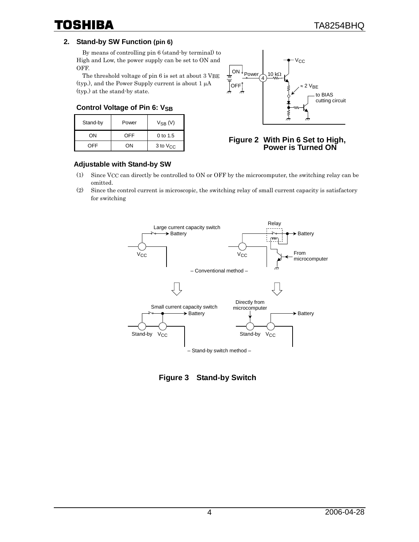#### **2. Stand-by SW Function (pin 6)**

By means of controlling pin 6 (stand-by terminal) to High and Low, the power supply can be set to ON and OFF.

The threshold voltage of pin 6 is set at about 3 VBE (typ.), and the Power Supply current is about 1 µA (typ.) at the stand-by state.

#### **Control Voltage of Pin 6: VSB**

| Stand-by | Power | $V_{SB}$ (V)    |
|----------|-------|-----------------|
| OΝ       | OFF   | 0 to 1.5        |
| OFF      | ωN    | $3$ to $V_{CC}$ |



#### **Figure 2 With Pin 6 Set to High, Power is Turned ON**

#### **Adjustable with Stand-by SW**

- (1) Since VCC can directly be controlled to ON or OFF by the microcomputer, the switching relay can be omitted.
- (2) Since the control current is microscopic, the switching relay of small current capacity is satisfactory for switching



**Figure 3 Stand-by Switch**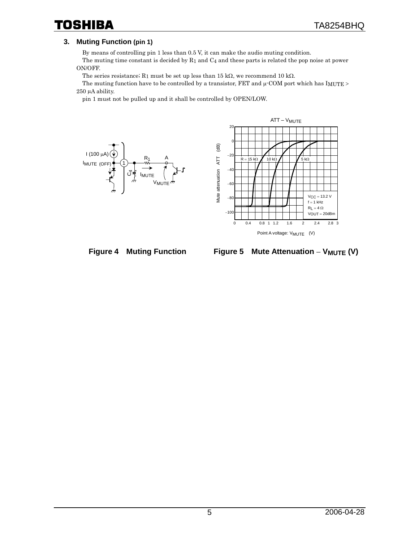## Toshiba

#### **3. Muting Function (pin 1)**

By means of controlling pin 1 less than 0.5 V, it can make the audio muting condition.

The muting time constant is decided by R1 and C4 and these parts is related the pop noise at power ON/OFF.

The series resistance; R<sub>1</sub> must be set up less than 15 kΩ, we recommend 10 kΩ.

The muting function have to be controlled by a transistor, FET and  $\mu$ -COM port which has IMUTE > 250 µA ability.

pin 1 must not be pulled up and it shall be controlled by OPEN/LOW.







**Figure 5 Mute Attenuation** − **VMUTE (V)**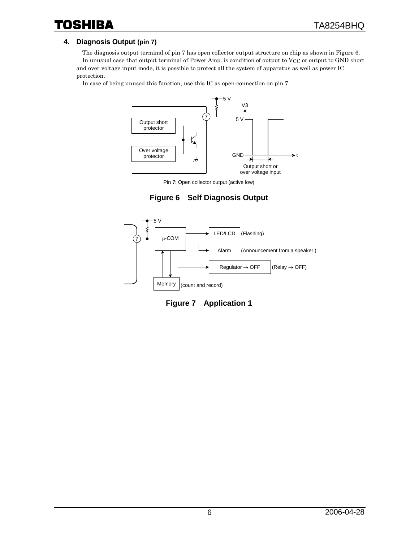#### **4. Diagnosis Output (pin 7)**

The diagnosis output terminal of pin 7 has open collector output structure on chip as shown in Figure 6. In unusual case that output terminal of Power Amp. is condition of output to VCC or output to GND short and over voltage input mode, it is possible to protect all the system of apparatus as well as power IC protection.

In case of being unused this function, use this IC as open-connection on pin 7.



Pin 7: Open collector output (active low)





**Figure 7 Application 1**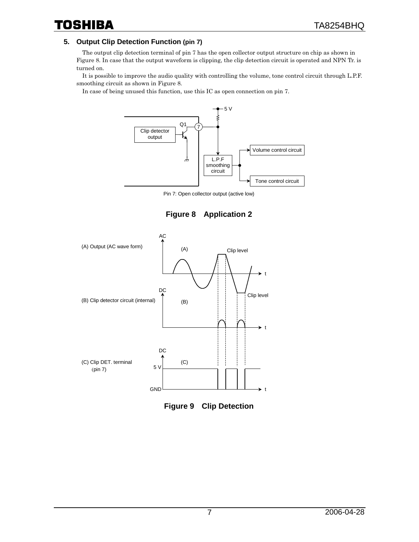#### **5. Output Clip Detection Function (pin 7)**

The output clip detection terminal of pin 7 has the open collector output structure on chip as shown in Figure 8. In case that the output waveform is clipping, the clip detection circuit is operated and NPN Tr. is turned on.

It is possible to improve the audio quality with controlling the volume, tone control circuit through L.P.F. smoothing circuit as shown in Figure 8.

In case of being unused this function, use this IC as open connection on pin 7.



Pin 7: Open collector output (active low)





**Figure 9 Clip Detection**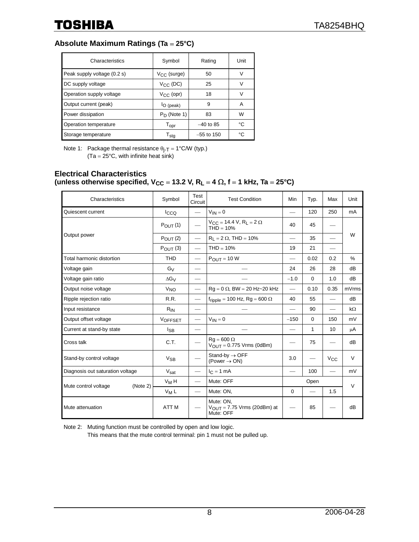### **Absolute Maximum Ratings (Ta** = **25°C)**

| Characteristics             | Symbol                      | Rating       | Unit |
|-----------------------------|-----------------------------|--------------|------|
| Peak supply voltage (0.2 s) | $V_{CC}$ (surge)            | 50           | v    |
| DC supply voltage           | $V_{CC}$ (DC)               | 25           | V    |
| Operation supply voltage    | $V_{CC}$ (opr)              | 18           | ν    |
| Output current (peak)       | $IO$ (peak)                 | 9            | A    |
| Power dissipation           | $P_D$ (Note 1)              | 83           | W    |
| Operation temperature       | $\mathsf{T}_{\mathsf{opt}}$ | $-40$ to 85  | °C   |
| Storage temperature         | $\mathsf{T}_{\mathsf{sta}}$ | $-55$ to 150 | ۰c   |

Note 1: Package thermal resistance  $\theta_{j-T} = 1^{\circ} C/W$  (typ.)  $(Ta = 25^{\circ}C$ , with infinite heat sink)

#### **Electrical Characteristics (unless otherwise specified,**  $V_{CC} = 13.2$  **V,**  $R_L = 4 \Omega$ **,**  $f = 1$  **kHz, Ta = 25°C)**

| Characteristics                  | Symbol                | Test<br>Circuit          | <b>Test Condition</b>                                             | Min                      | Typ.         | Max          | Unit      |
|----------------------------------|-----------------------|--------------------------|-------------------------------------------------------------------|--------------------------|--------------|--------------|-----------|
| Quiescent current                | $I_{CCQ}$             |                          | $V_{IN} = 0$                                                      |                          | 120          | 250          | mA        |
| Output power                     | $P_{\text{OUT}}(1)$   |                          | $V_{CC} = 14.4 V, R_L = 2 \Omega$<br>$THD = 10%$                  | 40                       | 45           |              | W         |
|                                  | $P_{\text{OUT}}(2)$   |                          | $R_1 = 2 \Omega$ , THD = 10%                                      |                          | 35           |              |           |
|                                  | $P_{\text{OUT}}(3)$   |                          | $THD = 10%$                                                       | 19                       | 21           |              |           |
| Total harmonic distortion        | <b>THD</b>            |                          | $P_{OUIT} = 10 W$                                                 |                          | 0.02         | 0.2          | %         |
| Voltage gain                     | $G_V$                 | $\overline{\phantom{0}}$ |                                                                   | 24                       | 26           | 28           | dB        |
| Voltage gain ratio               | $\Delta G_V$          | $\overline{\phantom{0}}$ |                                                                   | $-1.0$                   | $\Omega$     | 1.0          | dB        |
| Output noise voltage             | <b>V<sub>NO</sub></b> |                          | $Rq = 0 \Omega$ , BW = 20 Hz~20 kHz                               | $\overline{\phantom{0}}$ | 0.10         | 0.35         | mVrms     |
| Ripple rejection ratio           | R.R.                  |                          | $f_{\text{ripole}}$ = 100 Hz, Rg = 600 $\Omega$                   | 40                       | 55           |              | dB        |
| Input resistance                 | $R_{IN}$              |                          |                                                                   |                          | 90           |              | $k\Omega$ |
| Output offset voltage            | <b>VOFFSET</b>        | $\hspace{0.05cm}$        | $V_{IN} = 0$                                                      | $-150$                   | $\Omega$     | 150          | mV        |
| Current at stand-by state        | <b>I</b> SB           |                          |                                                                   |                          | $\mathbf{1}$ | 10           | μA        |
| Cross talk                       | C.T.                  |                          | $Rq = 600 \Omega$<br>$V_{OUT} = 0.775$ Vrms (0dBm)                |                          | 75           |              | dB        |
| Stand-by control voltage         | $V_{SB}$              |                          | Stand-by $\rightarrow$ OFF<br>(Power $\rightarrow$ ON)            | 3.0                      |              | $V_{\rm CC}$ | $\vee$    |
| Diagnosis out saturation voltage | $V_{\text{sat}}$      |                          | $I_C = 1$ mA                                                      |                          | 100          |              | mV        |
| Mute control voltage<br>(Note 2) | $V_M H$               |                          | Mute: OFF                                                         |                          | Open         |              | $\vee$    |
|                                  | $V_M L$               |                          | Mute: ON,                                                         | $\Omega$                 |              | 1.5          |           |
| Mute attenuation                 | ATT <sub>M</sub>      |                          | Mute: ON,<br>$V_{\text{OUT}} = 7.75$ Vrms (20dBm) at<br>Mute: OFF |                          | 85           |              | dB        |

Note 2: Muting function must be controlled by open and low logic. This means that the mute control terminal: pin 1 must not be pulled up.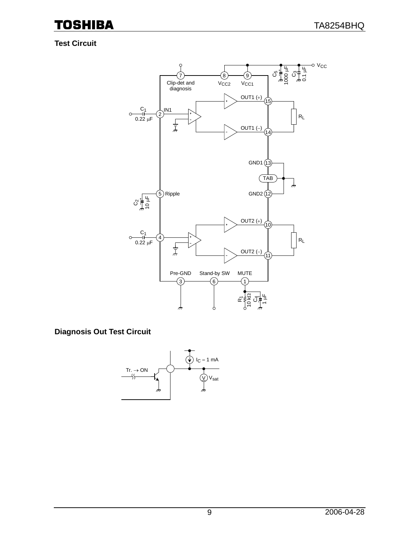### **Test Circuit**



**Diagnosis Out Test Circuit** 

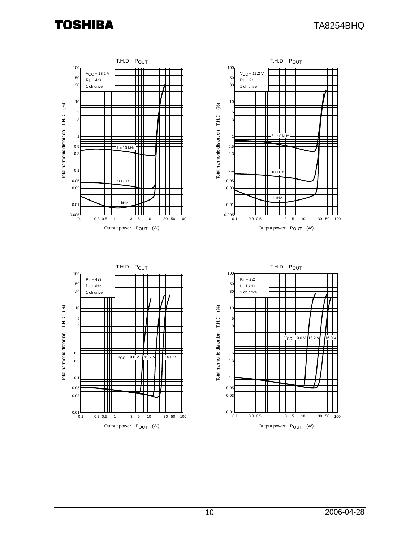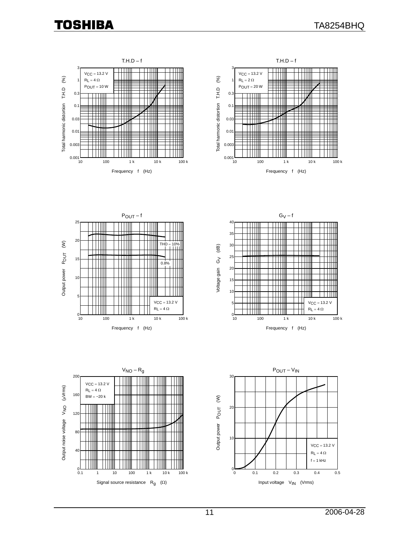









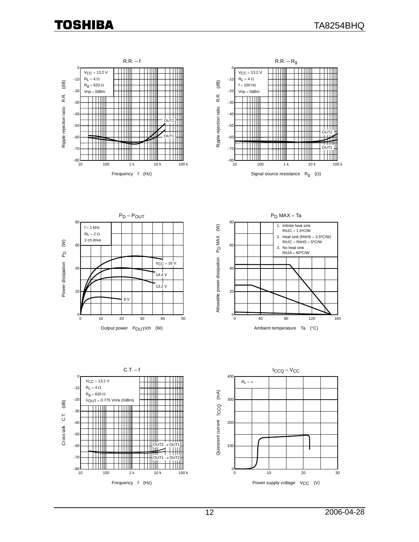









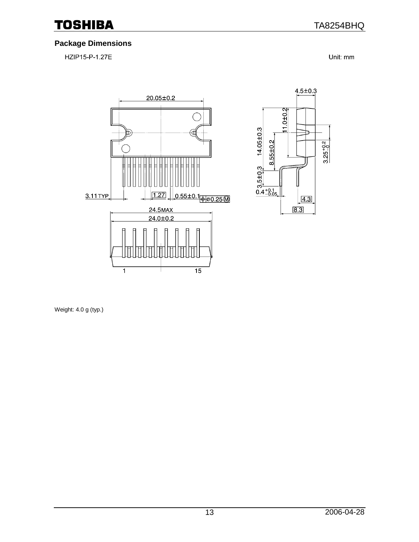### **Package Dimensions**

HZIP15-P-1.27E

Unit: mm

 $3.25^{+0.2}_{-0.2}$ 



Weight: 4.0 g (typ.)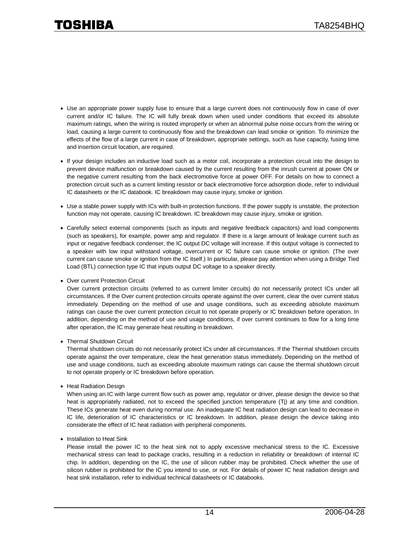- Use an appropriate power supply fuse to ensure that a large current does not continuously flow in case of over current and/or IC failure. The IC will fully break down when used under conditions that exceed its absolute maximum ratings, when the wiring is routed improperly or when an abnormal pulse noise occurs from the wiring or load, causing a large current to continuously flow and the breakdown can lead smoke or ignition. To minimize the effects of the flow of a large current in case of breakdown, appropriate settings, such as fuse capacity, fusing time and insertion circuit location, are required.
- If your design includes an inductive load such as a motor coil, incorporate a protection circuit into the design to prevent device malfunction or breakdown caused by the current resulting from the inrush current at power ON or the negative current resulting from the back electromotive force at power OFF. For details on how to connect a protection circuit such as a current limiting resistor or back electromotive force adsorption diode, refer to individual IC datasheets or the IC databook. IC breakdown may cause injury, smoke or ignition.
- Use a stable power supply with ICs with built-in protection functions. If the power supply is unstable, the protection function may not operate, causing IC breakdown. IC breakdown may cause injury, smoke or ignition.
- Carefully select external components (such as inputs and negative feedback capacitors) and load components (such as speakers), for example, power amp and regulator. If there is a large amount of leakage current such as input or negative feedback condenser, the IC output DC voltage will increase. If this output voltage is connected to a speaker with low input withstand voltage, overcurrent or IC failure can cause smoke or ignition. (The over current can cause smoke or ignition from the IC itself.) In particular, please pay attention when using a Bridge Tied Load (BTL) connection type IC that inputs output DC voltage to a speaker directly.
- Over current Protection Circuit

Over current protection circuits (referred to as current limiter circuits) do not necessarily protect ICs under all circumstances. If the Over current protection circuits operate against the over current, clear the over current status immediately. Depending on the method of use and usage conditions, such as exceeding absolute maximum ratings can cause the over current protection circuit to not operate properly or IC breakdown before operation. In addition, depending on the method of use and usage conditions, if over current continues to flow for a long time after operation, the IC may generate heat resulting in breakdown.

• Thermal Shutdown Circuit

Thermal shutdown circuits do not necessarily protect ICs under all circumstances. If the Thermal shutdown circuits operate against the over temperature, clear the heat generation status immediately. Depending on the method of use and usage conditions, such as exceeding absolute maximum ratings can cause the thermal shutdown circuit to not operate properly or IC breakdown before operation.

• Heat Radiation Design

When using an IC with large current flow such as power amp, regulator or driver, please design the device so that heat is appropriately radiated, not to exceed the specified junction temperature (Tj) at any time and condition. These ICs generate heat even during normal use. An inadequate IC heat radiation design can lead to decrease in IC life, deterioration of IC characteristics or IC breakdown. In addition, please design the device taking into considerate the effect of IC heat radiation with peripheral components.

• Installation to Heat Sink

Please install the power IC to the heat sink not to apply excessive mechanical stress to the IC. Excessive mechanical stress can lead to package cracks, resulting in a reduction in reliability or breakdown of internal IC chip. In addition, depending on the IC, the use of silicon rubber may be prohibited. Check whether the use of silicon rubber is prohibited for the IC you intend to use, or not. For details of power IC heat radiation design and heat sink installation, refer to individual technical datasheets or IC databooks.